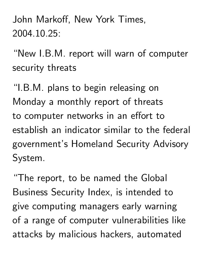John Markoff, New York Times, 2004.10.25:

"New I.B.M. report will warn of computer security threats

"I.B.M. plans to begin releasing on Monday a monthly report of threats to computer networks in an effort to establish an indicator similar to the federal government's Homeland Security Advisory System.

"The report, to be named the Global Business Security Index, is intended to give computing managers early warning of a range of computer vulnerabilities like attacks by malicious hackers, automated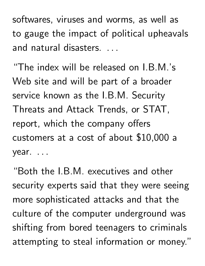softwares, viruses and worms, as well as to gauge the impact of political upheavals and natural disasters. .. and the contract of the contract of the

"The index will be released on I.B.M.'s Web site and will be part of a broader service known as the I.B.M. Security Threats and Attack Trends, or STAT, report, which the company offers customers at a cost of about \$10,000 a year. . \_\_\_\_\_\_\_

"Both the I.B.M. executives and other security experts said that they were seeing more sophisticated attacks and that the culture of the computer underground was shifting from bored teenagers to criminals attempting to steal information or money."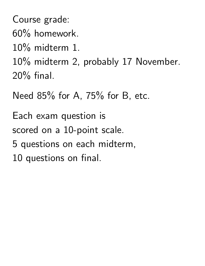Course grade: 60% homework. 10% midterm 1. 10% midterm 2, probably 17 November. 20% final.

Need 85% for A, 75% for B, etc.

Each exam question is scored on a 10-point scale. 5 questions on each midterm, 10 questions on final.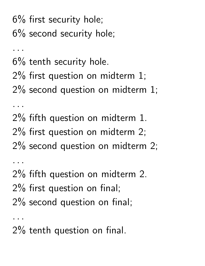6% first security hole; 6% second security hole;

6% tenth security hole.

 $\mathbf{r}=\mathbf{r}+\mathbf{r}$ 

. . .

 $\mathbf{r}=\mathbf{r}+\mathbf{r}$ 

2% first question on midterm 1;

2% second question on midterm 1;

2% fifth question on midterm 1. 2% first question on midterm 2; 2% second question on midterm 2;  $\mathbf{r}$  ,  $\mathbf{r}$ 2% fifth question on midterm 2.

2% first question on final;

2% second question on final;

2% tenth question on final.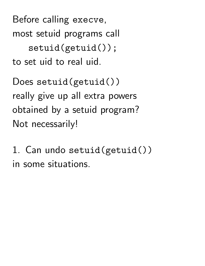Before calling execve, most setuid programs call setuid(getuid()); to set uid to real uid.

Does setuid(getuid()) really give up all extra powers obtained by a setuid program? Not necessarily!

1. Can undo setuid(getuid()) in some situations.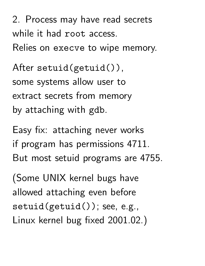2. Process may have read secrets while it had root access. Relies on execve to wipe memory.

After setuid(getuid()), some systems allow user to extract secrets from memory by attaching with gdb.

Easy fix: attaching never works if program has permissions 4711. But most setuid programs are 4755.

(Some UNIX kernel bugs have allowed attaching even before setuid(getuid()); see, e.g., Linux kernel bug fixed 2001.02.)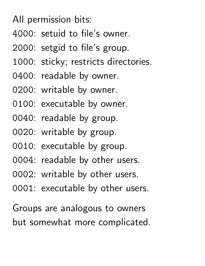All permission bits:

- : setuid to file's owner.
- : setgid to file's group.
- : sticky; restricts directories.
- : readable by owner.
- : writable by owner.
- : executable by owner.
- : readable by group.
- : writable by group.
- : executable by group.
- : readable by other users.
- : writable by other users.
- : executable by other users.

Groups are analogous to owners but somewhat more complicated.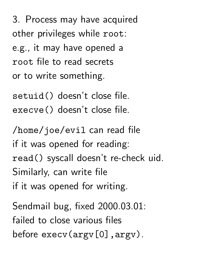3. Process may have acquired other privileges while root: e.g., it may have opened a root file to read secrets or to write something.

setuid() doesn't close file. execve() doesn't close file.

/home/joe/evil can read file if it was opened for reading: read() syscall doesn't re-check uid. Similarly, can write file if it was opened for writing.

Sendmail bug, fixed 2000.03.01: failed to close various files before execv(argv[0], argv).